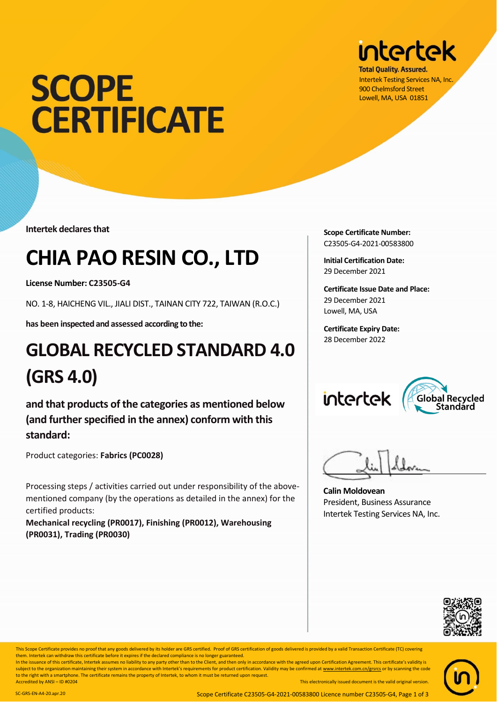# **SCOPE CERTIFICATE**

**Intertek declares that**

### **CHIA PAO RESIN CO., LTD**

**License Number: C23505-G4**

NO. 1-8, HAICHENG VIL., JIALI DIST., TAINAN CITY 722, TAIWAN (R.O.C.)

**has been inspected and assessed according to the:**

#### **GLOBAL RECYCLED STANDARD 4.0 (GRS 4.0)**

**and that products of the categories as mentioned below (and further specified in the annex) conform with this standard:**

Product categories: **Fabrics (PC0028)**

Processing steps / activities carried out under responsibility of the abovementioned company (by the operations as detailed in the annex) for the certified products:

**Mechanical recycling (PR0017), Finishing (PR0012), Warehousing (PR0031), Trading (PR0030)**



**Total Quality, Assured.** Intertek Testing Services NA, Inc. 900 Chelmsford Street Lowell, MA, USA 01851

**Scope Certificate Number:** C23505-G4-2021-00583800

**Initial Certification Date:** 29 December 2021

**Certificate Issue Date and Place:** 29 December 2021 Lowell, MA, USA

**Certificate Expiry Date:** 28 December 2022





**Calin Moldovean** President, Business Assurance Intertek Testing Services NA, Inc.



This Scope Certificate provides no proof that any goods delivered by its holder are GRS certified. Proof of GRS certification of goods delivered is provided by a valid Transaction Certificate (TC) covering This electronical version. SC-GRS-EN-LT-20 application. SC-GRS-EN-LT-20.application. SC-GRS-EN-LT-20.applicate them. Intertek can withdraw this certificate before it expires if the declared compliance is no longer guarante

This Scope Certificate provides no proof that any goods delivered by its holder are GRS certified. Proof of GRS certification of goods delivered is provided by a valid Transaction In the issuance of this certificate, Intertek assumes no liability to any party other than to the Client, and then only in accordance with the agreed upon Certification Agreement. This

In the issuance of this certificate, Intertek assumes no liability to any party other than to the Client, and then only in accordance with the agreed upon Certification Agreement. This certificate's validity is subject to the organization maintaining their system in accordance with Intertek's requirements for product certification. Validity may be confirmed a[t www.intertek.com.cn/grsrcs](http://www.intertek.com.cn/grsrcs) or by scanning the code to the right with a smartphone. The certificate remains the property of Intertek, to whom it must be returned upon request. Accredited by ANSI – ID #0204 This electronically issued document is the valid original version.

SC-GRS-EN-A4-20.apr.20 Scope Certificate C23505-G4-2021-00583800 Licence number C23505-G4, Page 1 of 3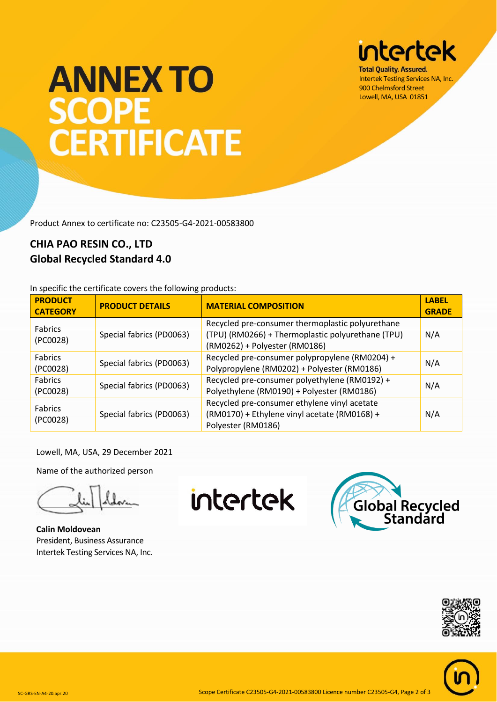## **intertek**

**Total Quality, Assured.** Intertek Testing Services NA, Inc. 900 Chelmsford Street Lowell, MA, USA 01851

# **ANNEX TO SCOPE CERTIFICATE**

Product Annex to certificate no: C23505-G4-2021-00583800

#### **CHIA PAO RESIN CO., LTD Global Recycled Standard 4.0**

In specific the certificate covers the following products:

| <b>PRODUCT</b><br><b>CATEGORY</b> | <b>PRODUCT DETAILS</b>   | <b>MATERIAL COMPOSITION</b>                                                                                                            | <b>LABEL</b><br><b>GRADE</b> |
|-----------------------------------|--------------------------|----------------------------------------------------------------------------------------------------------------------------------------|------------------------------|
| <b>Fabrics</b><br>(PC0028)        | Special fabrics (PD0063) | Recycled pre-consumer thermoplastic polyurethane<br>(TPU) (RM0266) + Thermoplastic polyurethane (TPU)<br>(RM0262) + Polyester (RM0186) | N/A                          |
| <b>Fabrics</b><br>(PC0028)        | Special fabrics (PD0063) | Recycled pre-consumer polypropylene (RM0204) +<br>Polypropylene (RM0202) + Polyester (RM0186)                                          | N/A                          |
| Fabrics<br>(PC0028)               | Special fabrics (PD0063) | Recycled pre-consumer polyethylene (RM0192) +<br>Polyethylene (RM0190) + Polyester (RM0186)                                            | N/A                          |
| <b>Fabrics</b><br>(PC0028)        | Special fabrics (PD0063) | Recycled pre-consumer ethylene vinyl acetate<br>(RM0170) + Ethylene vinyl acetate (RM0168) +<br>Polyester (RM0186)                     | N/A                          |

Lowell, MA, USA, 29 December 2021

Name of the authorized person

**Calin Moldovean** President, Business Assurance Intertek Testing Services NA, Inc.

intertek